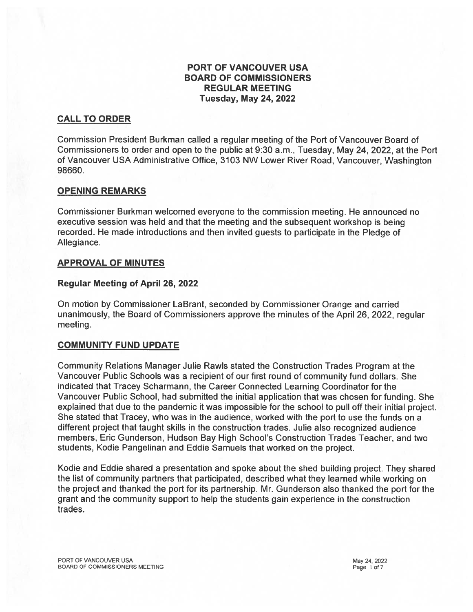# PORT OF VANCOUVER USA BOARD OF COMMISSIONERS REGULAR MEETING Tuesday, May 24, 2022

# CALL TO ORDER

Commission President Burkman called <sup>a</sup> regular meeting of the Port of Vancouver Board of Commissioners to order and open to the public at 9:30 a.m., Tuesday, May 24, 2022, at the Port of Vancouver USA Administrative Office, 3103 NW Lower River Road, Vancouver, Washington 98660.

# OPENING REMARKS

Commissioner Burkman welcomed everyone to the commission meeting. He announced no executive session was held and that the meeting and the subsequent workshop is being recorded. He made introductions and then invited guests to participate in the Pledge of Allegiance.

### APPROVAL OF MINUTES

### Regular Meeting of April 26, 2022

On motion by Commissioner LaBrant, seconded by Commissioner Orange and carried unanimously, the Board of Commissioners approve the minutes of the April 26, 2022, regular meeting.

## COMMUNITY FUND UPDATE

Community Relations Manager Julie Rawis stated the Construction Trades Program at the Vancouver Public Schools was <sup>a</sup> recipient of our first round of community fund dollars. She indicated that Tracey Scharmann, the Career Connected Learning Coordinator for the Vancouver Public School, had submitted the initial application that was chosen for funding. She explained that due to the pandemic it was impossible for the school to pull off their initial project. She stated that Tracey, who was in the audience, worked with the por<sup>t</sup> to use the funds on <sup>a</sup> different project that taught skills in the construction trades. Julie also recognized audience members, Eric Gunderson, Hudson Bay High School's Construction Trades Teacher, and two students, Kodie Pangelinan and Eddie Samuels that worked on the project.

Kodie and Eddie shared <sup>a</sup> presentation and spoke about the shed building project. They shared the list of community partners that participated, described what they learned while working on the project and thanked the por<sup>t</sup> for its partnership. Mr. Gunderson also thanked the por<sup>t</sup> for the gran<sup>t</sup> and the community suppor<sup>t</sup> to help the students gain experience in the construction trades.

PORT OF VANCOUVER USA May 24, 2022<br>
BOARD OF COMMISSIONERS MEETING NEET AND RESERVE TO A MAY 24, 2022 BOARD OF COMMISSIONERS MEETING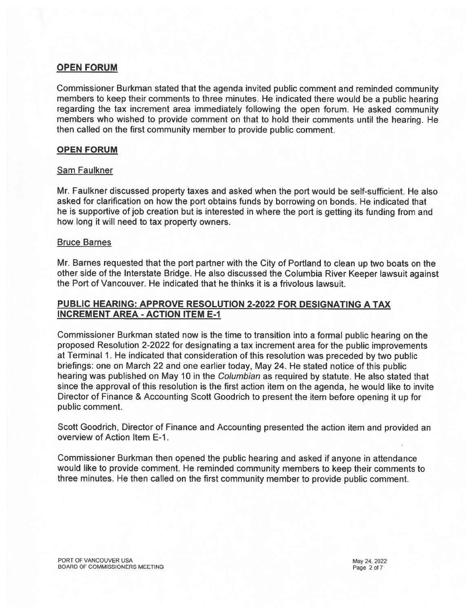# OPEN FORUM

Commissioner Burkman stated that the agenda invited public comment and reminded community members to keep their comments to three minutes. He indicated there would be <sup>a</sup> public hearing regarding the tax increment area immediately following the open forum. He asked community members who wished to provide comment on that to hold their comments until the hearing. He then called on the first community member to provide public comment.

## OPEN FORUM

### Sam Faulkner

Mr. Faulkner discussed property taxes and asked when the por<sup>t</sup> would be self-sufficient. He also asked for clarification on how the por<sup>t</sup> obtains funds by borrowing on bonds. He indicated that he is supportive of job creation but is interested in where the por<sup>t</sup> is getting its funding from and how long it will need to tax property owners.

### Bruce Barnes

Mr. Barnes requested that the por<sup>t</sup> partner with the City of Portland to clean up two boats on the other side of the Interstate Bridge. He also discussed the Columbia River Keeper lawsuit against the Port of Vancouver. He indicated that he thinks it is <sup>a</sup> frivolous lawsuit.

# PUBLIC HEARING: APPROVE RESOLUTION 2-2022 FOR DESIGNATING A TAX INCREMENT AREA - ACTION ITEM E-1

Commissioner Burkman stated now is the time to transition into <sup>a</sup> formal public hearing on the propose<sup>d</sup> Resolution 2-2022 for designating <sup>a</sup> tax increment area for the public improvements at Terminal 1. He indicated that consideration of this resolution was preceded by two public briefings: one on March <sup>22</sup> and one earlier today, May 24. He stated notice of this public hearing was published on May 10 in the *Columbian* as required by statute. He also stated that since the approval of this resolution is the first action item on the agenda, he would like to invite Director of Finance & Accounting Scott Goodrich to presen<sup>t</sup> the item before opening it up for public comment.

Scott Goodrich, Director of Finance and Accounting presented the action item and provided an overview of Action Item E-1.

Commissioner Burkman then opened the public hearing and asked if anyone in attendance would like to provide comment. He reminded community members to keep their comments to three minutes. He then called on the first community member to provide public comment.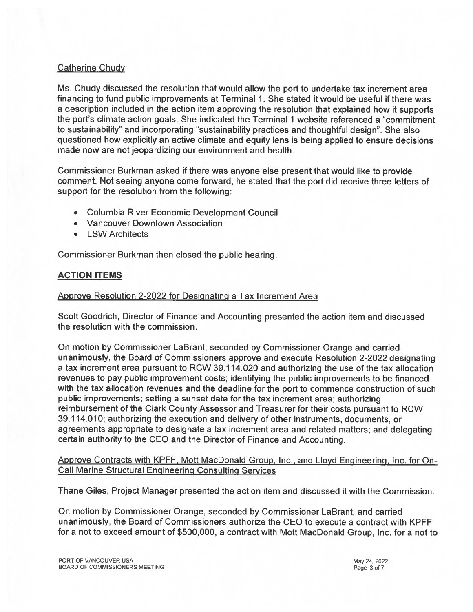# Catherine Chudy

Ms. Chudy discussed the resolution that would allow the por<sup>t</sup> to undertake tax increment area financing to fund public improvements at Terminal 1. She stated it would be useful if there was <sup>a</sup> description included in the action item approving the resolution that explained how it supports the port's climate action goals. She indicated the Terminal 1 website referenced <sup>a</sup> "commitment to sustainability" and incorporating "sustainability practices and thoughtful design". She also questioned how explicitly an active climate and equity lens is being applied to ensure decisions made now are not jeopardizing our environment and health.

Commissioner Burkman asked if there was anyone else presen<sup>t</sup> that would like to provide comment. Not seeing anyone come forward, he stated that the por<sup>t</sup> did receive three letters of suppor<sup>t</sup> for the resolution from the following:

- Columbia River Economic Development Council
- Vancouver Downtown Association
- LSW Architects

Commissioner Burkman then closed the public hearing.

# ACTION ITEMS

## Approve Resolution 2-2022 for Designating <sup>a</sup> Tax Increment Area

Scott Goodrich, Director of Finance and Accounting presented the action item and discussed the resolution with the commission.

On motion by Commissioner LaBrant, seconded by Commissioner Orange and carried unanimously, the Board of Commissioners approve and execute Resolution 2-2022 designating <sup>a</sup> tax increment area pursuan<sup>t</sup> to RCW 39.114.020 and authorizing the use of the tax allocation revenues to pay public improvement costs; identifying the public improvements to be financed with the tax allocation revenues and the deadline for the por<sup>t</sup> to commence construction of such public improvements; setting <sup>a</sup> sunset date for the tax increment area; authorizing reimbursement of the Clark County Assessor and Treasurer for their costs pursuan<sup>t</sup> to ROW 39.114.010; authorizing the execution and delivery of other instruments, documents, or agreements appropriate to designate <sup>a</sup> tax increment area and related matters; and delegating certain authority to the CEO and the Director of Finance and Accounting.

Approve Contracts with KPFF, Mott MacDonald Group, Inc., and Lloyd Engineering, Inc. for On-Call Marine Structural Engineering Consulting Services

Thane Giles, Project Manager presented the action item and discussed it with the Commission.

On motion by Commissioner Orange, seconded by Commissioner LaBrant, and carried unanimously, the Board of Commissioners authorize the CEO to execute <sup>a</sup> contract with KPFF for <sup>a</sup> not to exceed amount of \$500,000, <sup>a</sup> contract with Mott MacDonald Group, Inc. for <sup>a</sup> not to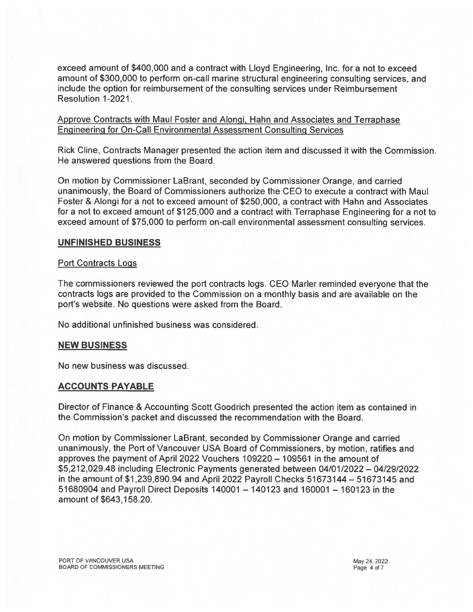exceed amount of \$400,000 and <sup>a</sup> contract with Lloyd Engineering, Inc. for <sup>a</sup> not to exceed amount of \$300,000 to perform on-call marine structural engineering consulting services, and include the option for reimbursement of the consulting services under Reimbursement Resolution 1-2021.

### Approve Contracts with Maul Foster and Alongi, Hahn and Associates and Terraphase Engineering for On-Call Environmental Assessment Consulting Services

Rick Cline, Contracts Manager presented the action item and discussed it with the Commission. He answered questions from the Board.

On motion by Commissioner LaBrant, seconded by Commissioner Orange, and carried unanimously, the Board of Commissioners authorize the CEO to execute <sup>a</sup> contract with Maul Foster & Alongi for <sup>a</sup> not to exceed amount of \$250,000, <sup>a</sup> contract with Hahn and Associates for <sup>a</sup> not to exceed amount of \$125,000 and <sup>a</sup> contract with Terraphase Engineering for <sup>a</sup> not to exceed amount of \$75,000 to perform on-call environmental assessment consulting services.

#### UNFINISHED BUSINESS

#### Port Contracts Logs

The commissioners reviewed the por<sup>t</sup> contracts logs. CEO Marler reminded everyone that the contracts logs are provided to the Commission on <sup>a</sup> monthly basis and are available on the port's website. No questions were asked from the Board.

No additional unfinished business was considered.

#### NEW BUSINESS

No new business was discussed.

#### ACCOUNTS PAYABLE

Director of Finance & Accounting Scott Goodrich presented the action item as contained in the Commission's packet and discussed the recommendation with the Board.

On motion by Commissioner LaBrant, seconded by Commissioner Orange and carried unanimously, the Port of Vancouver USA Board of Commissioners, by motion, ratifies and approves the paymen<sup>t</sup> of April 2022 Vouchers 109220 — 109561 in the amount of \$5,212,029.48 including Electronic Payments generated between 04/01/2022 — 04/29/2022 in the amount of \$1,239,890.94 and April 2022 Payroll Checks 51673144—51673145 and 51680904 and Payroll Direct Deposits 140001 — 140123 and 160001 — 160123 in the amount of \$643,158.20.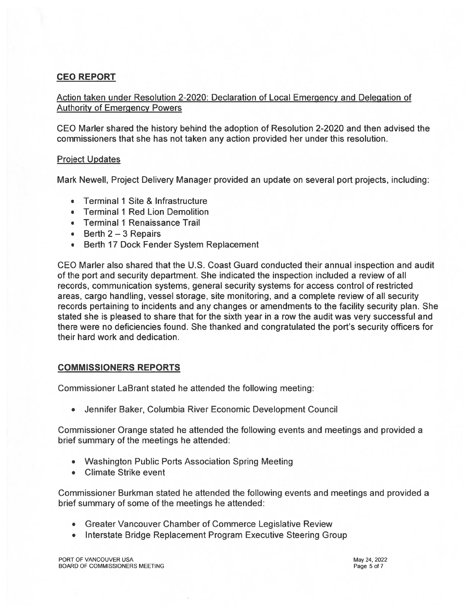# CEO REPORT

# Action taken under Resolution 2-2020: Declaration of Local Emergency and Delegation of Authority of Emergency Powers

CEO Marler shared the history behind the adoption of Resolution 2-2020 and then advised the commissioners that she has not taken any action provided her under this resolution.

### **Project Updates**

Mark Newell, Project Delivery Manager provided an update on several por<sup>t</sup> projects, including:

- Terminal 1 Site & Infrastructure
- Terminal I Red Lion Demolition
- Terminal 1 Renaissance Trail
- Berth 2 3 Repairs
- Berth 17 Dock Fender System Replacement

CEO Marler also shared that the U.S. Coast Guard conducted their annual inspection and audit of the por<sup>t</sup> and security department. She indicated the inspection included <sup>a</sup> review of all records, communication systems, general security systems for access control of restricted areas, cargo handling, vessel storage, site monitoring, and <sup>a</sup> complete review of all security records pertaining to incidents and any changes or amendments to the facility security plan. She stated she is pleased to share that for the sixth year in <sup>a</sup> row the audit was very successful and there were no deficiencies found. She thanked and congratulated the port's security officers for their hard work and dedication.

## COMMISSIONERS REPORTS

Commissioner LaBrant stated he attended the following meeting:

• Jennifer Baker, Columbia River Economic Development Council

Commissioner Orange stated he attended the following events and meetings and provided <sup>a</sup> brief summary of the meetings he attended:

- Washington Public Ports Association Spring Meeting
- Climate Strike event

Commissioner Burkman stated he attended the following events and meetings and provided <sup>a</sup> brief summary of some of the meetings he attended:

- Greater Vancouver Chamber of Commerce Legislative Review
- •Interstate Bridge Replacement Program Executive Steering Group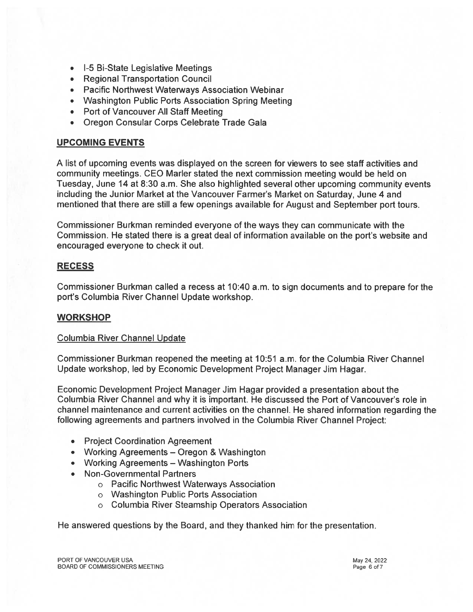- 1-5 Bi-State Legislative Meetings
- Regional Transportation Council
- Pacific Northwest Waterways Association Webinar
- Washington Public Ports Association Spring Meeting
- Port of Vancouver All Staff Meeting
- Oregon Consular Corps Celebrate Trade Gala

# UPCOMING EVENTS

A list of upcoming events was displayed on the screen for viewers to see staff activities and community meetings. CEO Marler stated the next commission meeting would be held on Tuesday, June 14 at 8:30 am. She also highlighted several other upcoming community events including the Junior Market at the Vancouver Farmer's Market on Saturday, June <sup>4</sup> and mentioned that there are still <sup>a</sup> few openings available for August and September por<sup>t</sup> tours.

Commissioner Burkman reminded everyone of the ways they can communicate with the Commission. He stated there is <sup>a</sup> grea<sup>t</sup> deal of information available on the port's website and encouraged everyone to check it out.

# RECESS

Commissioner Burkman called <sup>a</sup> recess at 10:40 a.m. to sign documents and to prepare for the port's Columbia River Channel Update workshop.

## WORKSHOP

## Columbia River Channel Update

Commissioner Burkman reopened the meeting at 10:51 a.m. for the Columbia River Channel Update workshop, led by Economic Development Project Manager Jim Hagar.

Economic Development Project Manager Jim Hagar provided <sup>a</sup> presentation about the Columbia River Channel and why it is important. He discussed the Port of Vancouver's role in channel maintenance and current activities on the channel. He shared information regarding the following agreements and partners involved in the Columbia River Channel Project:

- Project Coordination Agreement
- Working Agreements Oregon & Washington
- Working Agreements Washington Ports
- Non-Governmental Partners
	- <sup>O</sup> Pacific Northwest Waterways Association
	- <sup>O</sup> Washington Public Ports Association
	- <sup>O</sup> Columbia River Steamship Operators Association

He answered questions by the Board, and they thanked him for the presentation.